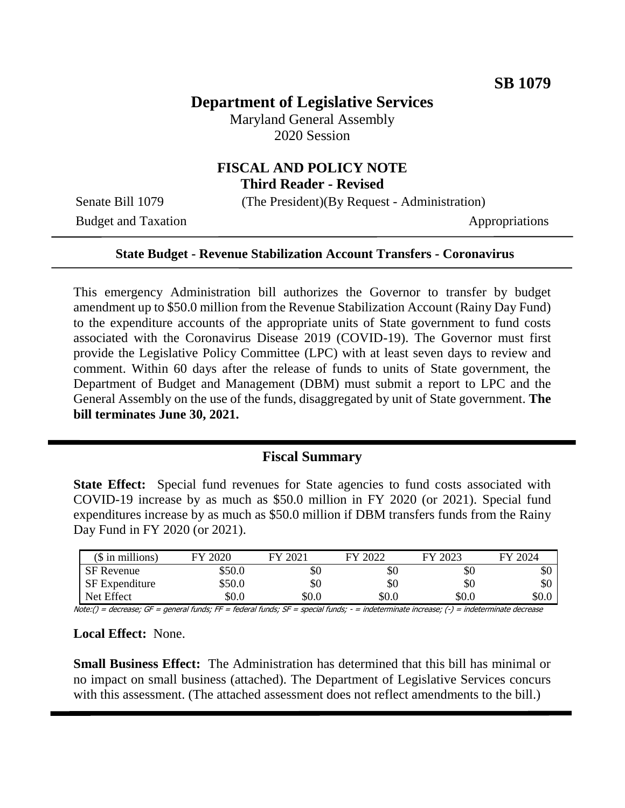# **Department of Legislative Services**

Maryland General Assembly 2020 Session

## **FISCAL AND POLICY NOTE Third Reader - Revised**

Senate Bill 1079 (The President)(By Request - Administration)

Budget and Taxation Appropriations

#### **State Budget - Revenue Stabilization Account Transfers - Coronavirus**

This emergency Administration bill authorizes the Governor to transfer by budget amendment up to \$50.0 million from the Revenue Stabilization Account (Rainy Day Fund) to the expenditure accounts of the appropriate units of State government to fund costs associated with the Coronavirus Disease 2019 (COVID-19). The Governor must first provide the Legislative Policy Committee (LPC) with at least seven days to review and comment. Within 60 days after the release of funds to units of State government, the Department of Budget and Management (DBM) must submit a report to LPC and the General Assembly on the use of the funds, disaggregated by unit of State government. **The bill terminates June 30, 2021.**

## **Fiscal Summary**

**State Effect:** Special fund revenues for State agencies to fund costs associated with COVID-19 increase by as much as \$50.0 million in FY 2020 (or 2021). Special fund expenditures increase by as much as \$50.0 million if DBM transfers funds from the Rainy Day Fund in FY 2020 (or 2021).

| $($$ in millions)     | FY 2020 | FY 2021 | FY 2022 | FY 2023 | FY 2024 |
|-----------------------|---------|---------|---------|---------|---------|
| <b>SF</b> Revenue     | \$50.0  | \$0     | \$0     | \$0     | эU      |
| <b>SF</b> Expenditure | \$50.0  | \$0     | \$0     | \$0     | ЭU      |
| Net Effect            | \$0.0   | \$0.0   | \$0.0   | \$0.0   | \$0.0   |

Note:() = decrease; GF = general funds; FF = federal funds; SF = special funds; - = indeterminate increase; (-) = indeterminate decrease

#### **Local Effect:** None.

**Small Business Effect:** The Administration has determined that this bill has minimal or no impact on small business (attached). The Department of Legislative Services concurs with this assessment. (The attached assessment does not reflect amendments to the bill.)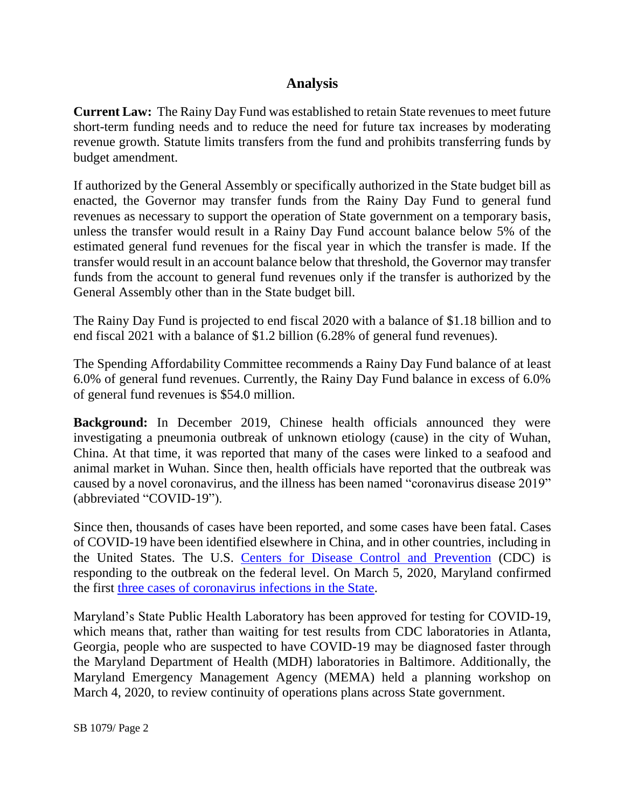# **Analysis**

**Current Law:** The Rainy Day Fund was established to retain State revenues to meet future short-term funding needs and to reduce the need for future tax increases by moderating revenue growth. Statute limits transfers from the fund and prohibits transferring funds by budget amendment.

If authorized by the General Assembly or specifically authorized in the State budget bill as enacted, the Governor may transfer funds from the Rainy Day Fund to general fund revenues as necessary to support the operation of State government on a temporary basis, unless the transfer would result in a Rainy Day Fund account balance below 5% of the estimated general fund revenues for the fiscal year in which the transfer is made. If the transfer would result in an account balance below that threshold, the Governor may transfer funds from the account to general fund revenues only if the transfer is authorized by the General Assembly other than in the State budget bill.

The Rainy Day Fund is projected to end fiscal 2020 with a balance of \$1.18 billion and to end fiscal 2021 with a balance of \$1.2 billion (6.28% of general fund revenues).

The Spending Affordability Committee recommends a Rainy Day Fund balance of at least 6.0% of general fund revenues. Currently, the Rainy Day Fund balance in excess of 6.0% of general fund revenues is \$54.0 million.

**Background:** In December 2019, Chinese health officials announced they were investigating a pneumonia outbreak of unknown etiology (cause) in the city of Wuhan, China. At that time, it was reported that many of the cases were linked to a seafood and animal market in Wuhan. Since then, health officials have reported that the outbreak was caused by a novel coronavirus, and the illness has been named "coronavirus disease 2019" (abbreviated "COVID-19").

Since then, thousands of cases have been reported, and some cases have been fatal. Cases of COVID-19 have been identified elsewhere in China, and in other countries, including in the United States. The U.S. [Centers for Disease Control and Prevention](https://www.cdc.gov/coronavirus/2019-ncov/about/index.html) (CDC) is responding to the outbreak on the federal level. On March 5, 2020, Maryland confirmed the first [three cases of coronavirus infections in the State.](https://phpa.health.maryland.gov/Pages/Novel-coronavirus.aspx)

Maryland's State Public Health Laboratory has been approved for testing for COVID-19, which means that, rather than waiting for test results from CDC laboratories in Atlanta, Georgia, people who are suspected to have COVID-19 may be diagnosed faster through the Maryland Department of Health (MDH) laboratories in Baltimore. Additionally, the Maryland Emergency Management Agency (MEMA) held a planning workshop on March 4, 2020, to review continuity of operations plans across State government.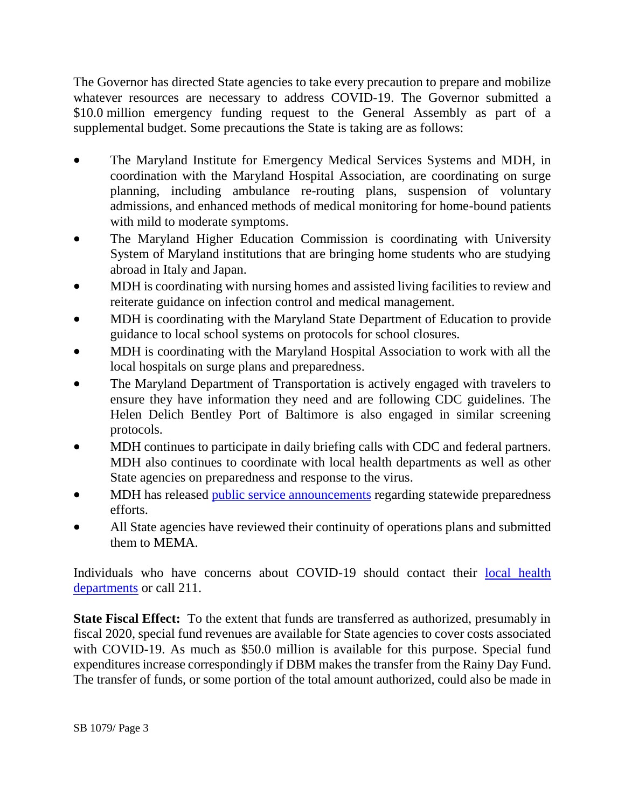The Governor has directed State agencies to take every precaution to prepare and mobilize whatever resources are necessary to address COVID-19. The Governor submitted a \$10.0 million emergency funding request to the General Assembly as part of a supplemental budget. Some precautions the State is taking are as follows:

- The Maryland Institute for Emergency Medical Services Systems and MDH, in coordination with the Maryland Hospital Association, are coordinating on surge planning, including ambulance re-routing plans, suspension of voluntary admissions, and enhanced methods of medical monitoring for home-bound patients with mild to moderate symptoms.
- The Maryland Higher Education Commission is coordinating with University System of Maryland institutions that are bringing home students who are studying abroad in Italy and Japan.
- MDH is coordinating with nursing homes and assisted living facilities to review and reiterate guidance on infection control and medical management.
- MDH is coordinating with the Maryland State Department of Education to provide guidance to local school systems on protocols for school closures.
- MDH is coordinating with the Maryland Hospital Association to work with all the local hospitals on surge plans and preparedness.
- The Maryland Department of Transportation is actively engaged with travelers to ensure they have information they need and are following CDC guidelines. The Helen Delich Bentley Port of Baltimore is also engaged in similar screening protocols.
- MDH continues to participate in daily briefing calls with CDC and federal partners. MDH also continues to coordinate with local health departments as well as other State agencies on preparedness and response to the virus.
- MDH has released [public service announcements](https://urldefense.proofpoint.com/v2/url?u=https-3A__lnks.gd_l_eyJhbGciOiJIUzI1NiJ9.eyJidWxsZXRpbl9saW5rX2lkIjoxMDIsInVyaSI6ImJwMjpjbGljayIsImJ1bGxldGluX2lkIjoiMjAyMDAzMDQuMTgxNzcxNjEiLCJ1cmwiOiJodHRwczovL2hlYWx0aC5tYXJ5bGFuZC5nb3YvbmV3c3Jvb20vUGFnZXMvTWFyeWxhbmQtRGVwYXJ0bWVudC1vZi1IZWFsdGgtcmVsZWFzZXMtcHVibGljLXNlcnZpY2UtYW5ub3VuY2VtZW50cy1hbWlkLXN0YXRld2lkZS1wcmVwYXJlZG5lc3MtZWZmb3J0cy1mb3ItQ09WSUQtMTkuYXNweCJ9.EPna0bX7kAEcxO7xaPreamOJrAl-2DLw1VUpX88ZQRES8_br_75670370207-2Dl&d=DwMFAA&c=Gp5PoQfTj9yjDt8XV2x6aql0UnCZXhNkdBYbfDClWas&r=5eLMyakdgY5EiWV5gx1UhusluoJ1h46zfB74F8ChH6U&m=MaZleKQhPz39UqM57T5Mp6nRsvOJigAv2sTApLcrfxM&s=4Ok-1-RKSB5adtMQ-Yno0mwnwJ3lVh3o61Zl4XenYHU&e=) regarding statewide preparedness efforts.
- All State agencies have reviewed their continuity of operations plans and submitted them to MEMA.

Individuals who have concerns about COVID-19 should contact their [local health](https://health.maryland.gov/Pages/departments.ASPX)  [departments](https://health.maryland.gov/Pages/departments.ASPX) or call 211.

**State Fiscal Effect:** To the extent that funds are transferred as authorized, presumably in fiscal 2020, special fund revenues are available for State agencies to cover costs associated with COVID-19. As much as \$50.0 million is available for this purpose. Special fund expenditures increase correspondingly if DBM makes the transfer from the Rainy Day Fund. The transfer of funds, or some portion of the total amount authorized, could also be made in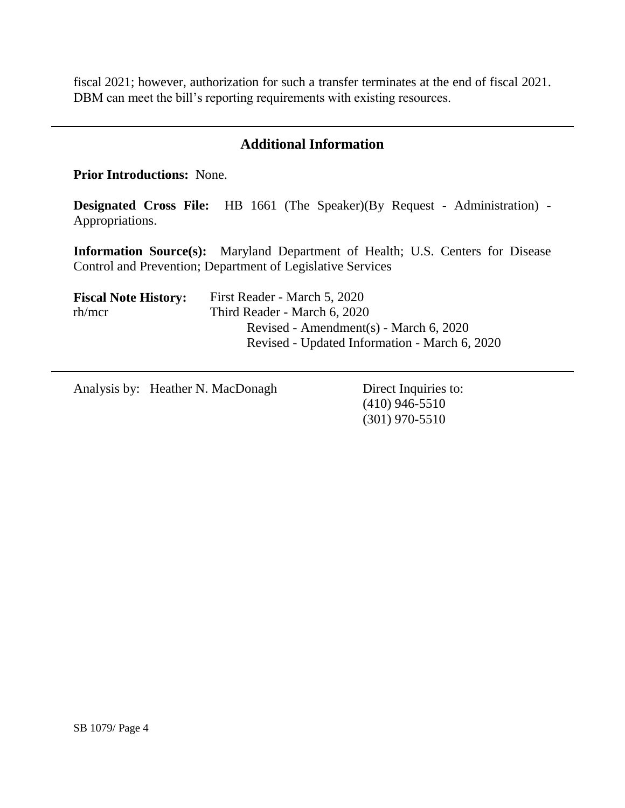fiscal 2021; however, authorization for such a transfer terminates at the end of fiscal 2021. DBM can meet the bill's reporting requirements with existing resources.

## **Additional Information**

**Prior Introductions:** None.

**Designated Cross File:** HB 1661 (The Speaker)(By Request - Administration) - Appropriations.

**Information Source(s):** Maryland Department of Health; U.S. Centers for Disease Control and Prevention; Department of Legislative Services

| <b>Fiscal Note History:</b> | First Reader - March 5, 2020                  |  |
|-----------------------------|-----------------------------------------------|--|
| rh/mcr                      | Third Reader - March 6, 2020                  |  |
|                             | Revised - Amendment(s) - March 6, 2020        |  |
|                             | Revised - Updated Information - March 6, 2020 |  |

Analysis by: Heather N. MacDonagh Direct Inquiries to:

(410) 946-5510 (301) 970-5510